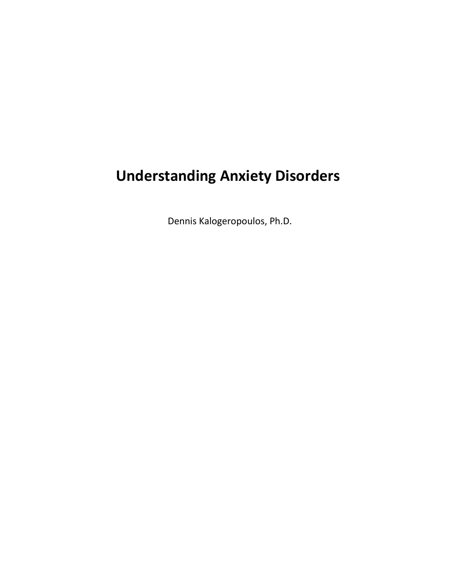# **Understanding Anxiety Disorders**

Dennis Kalogeropoulos, Ph.D.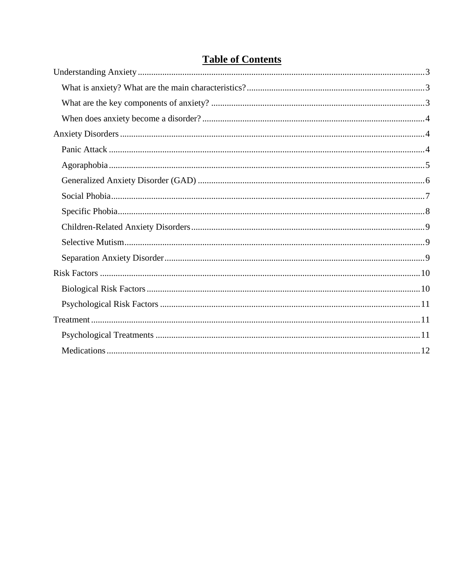## **Table of Contents**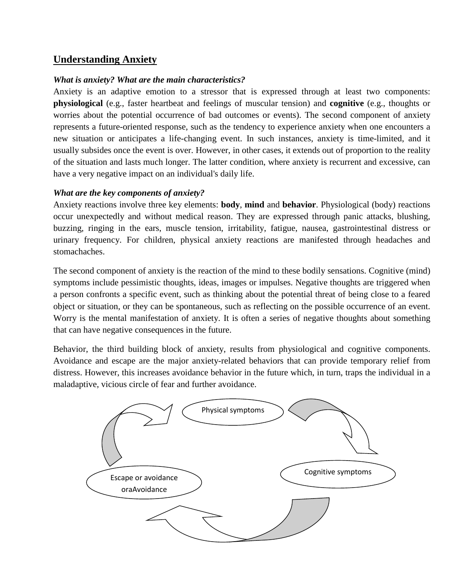### <span id="page-2-0"></span>**Understanding Anxiety**

#### <span id="page-2-1"></span>*What is anxiety? What are the main characteristics?*

Anxiety is an adaptive emotion to a stressor that is expressed through at least two components: **physiological** (e.g., faster heartbeat and feelings of muscular tension) and **cognitive** (e.g., thoughts or worries about the potential occurrence of bad outcomes or events). The second component of anxiety represents a future-oriented response, such as the tendency to experience anxiety when one encounters a new situation or anticipates a life-changing event. In such instances, anxiety is time-limited, and it usually subsides once the event is over. However, in other cases, it extends out of proportion to the reality of the situation and lasts much longer. The latter condition, where anxiety is recurrent and excessive, can have a very negative impact on an individual's daily life.

#### <span id="page-2-2"></span>*What are the key components of anxiety?*

Anxiety reactions involve three key elements: **body**, **mind** and **behavior**. Physiological (body) reactions occur unexpectedly and without medical reason. They are expressed through panic attacks, blushing, buzzing, ringing in the ears, muscle tension, irritability, fatigue, nausea, gastrointestinal distress or urinary frequency. For children, physical anxiety reactions are manifested through headaches and stomachaches.

The second component of anxiety is the reaction of the mind to these bodily sensations. Cognitive (mind) symptoms include pessimistic thoughts, ideas, images or impulses. Negative thoughts are triggered when a person confronts a specific event, such as thinking about the potential threat of being close to a feared object or situation, or they can be spontaneous, such as reflecting on the possible occurrence of an event. Worry is the mental manifestation of anxiety. It is often a series of negative thoughts about something that can have negative consequences in the future.

Behavior, the third building block of anxiety, results from physiological and cognitive components. Avoidance and escape are the major anxiety-related behaviors that can provide temporary relief from distress. However, this increases avoidance behavior in the future which, in turn, traps the individual in a maladaptive, vicious circle of fear and further avoidance.

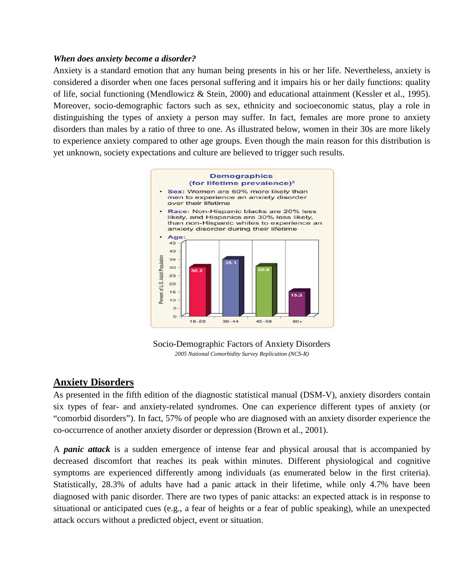#### <span id="page-3-0"></span>*When does anxiety become a disorder?*

Anxiety is a standard emotion that any human being presents in his or her life. Nevertheless, anxiety is considered a disorder when one faces personal suffering and it impairs his or her daily functions: quality of life, social functioning (Mendlowicz & Stein, 2000) and educational attainment (Kessler et al., 1995). Moreover, socio-demographic factors such as sex, ethnicity and socioeconomic status, play a role in distinguishing the types of anxiety a person may suffer. In fact, females are more prone to anxiety disorders than males by a ratio of three to one. As illustrated below, women in their 30s are more likely to experience anxiety compared to other age groups. Even though the main reason for this distribution is yet unknown, society expectations and culture are believed to trigger such results.



Socio-Demographic Factors of Anxiety Disorders *2005 National Comorbidity Survey Replication (NCS-R)*

## <span id="page-3-1"></span>**Anxiety Disorders**

As presented in the fifth edition of the diagnostic statistical manual (DSM-V), anxiety disorders contain six types of fear- and anxiety-related syndromes. One can experience different types of anxiety (or "comorbid disorders"). In fact, 57% of people who are diagnosed with an anxiety disorder experience the co-occurrence of another anxiety disorder or depression (Brown et al., 2001).

<span id="page-3-2"></span>A *panic attack* is a sudden emergence of intense fear and physical arousal that is accompanied by decreased discomfort that reaches its peak within minutes. Different physiological and cognitive symptoms are experienced differently among individuals (as enumerated below in the first criteria). Statistically, 28.3% of adults have had a panic attack in their lifetime, while only 4.7% have been diagnosed with panic disorder. There are two types of panic attacks: an expected attack is in response to situational or anticipated cues (e.g., a fear of heights or a fear of public speaking), while an unexpected attack occurs without a predicted object, event or situation.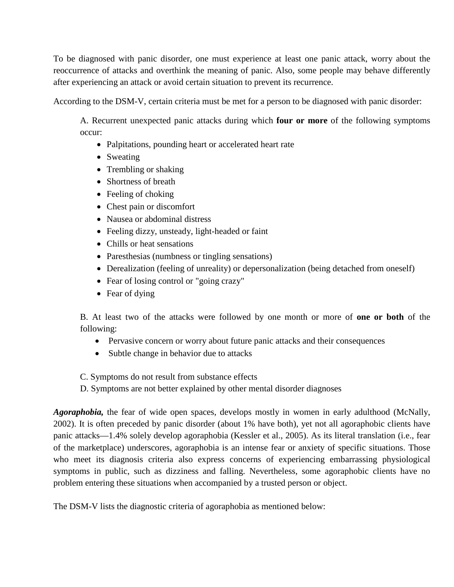To be diagnosed with panic disorder, one must experience at least one panic attack, worry about the reoccurrence of attacks and overthink the meaning of panic. Also, some people may behave differently after experiencing an attack or avoid certain situation to prevent its recurrence.

According to the DSM-V, certain criteria must be met for a person to be diagnosed with panic disorder:

A. Recurrent unexpected panic attacks during which **four or more** of the following symptoms occur:

- Palpitations, pounding heart or accelerated heart rate
- Sweating
- Trembling or shaking
- Shortness of breath
- Feeling of choking
- Chest pain or discomfort
- Nausea or abdominal distress
- Feeling dizzy, unsteady, light-headed or faint
- Chills or heat sensations
- Paresthesias (numbness or tingling sensations)
- Derealization (feeling of unreality) or depersonalization (being detached from oneself)
- Fear of losing control or "going crazy"
- Fear of dying

B. At least two of the attacks were followed by one month or more of **one or both** of the following:

- Pervasive concern or worry about future panic attacks and their consequences
- Subtle change in behavior due to attacks
- C. Symptoms do not result from substance effects
- D. Symptoms are not better explained by other mental disorder diagnoses

<span id="page-4-0"></span>*Agoraphobia,* the fear of wide open spaces, develops mostly in women in early adulthood (McNally, 2002). It is often preceded by panic disorder (about 1% have both), yet not all agoraphobic clients have panic attacks—1.4% solely develop agoraphobia (Kessler et al., 2005). As its literal translation (i.e., fear of the marketplace) underscores, agoraphobia is an intense fear or anxiety of specific situations. Those who meet its diagnosis criteria also express concerns of experiencing embarrassing physiological symptoms in public, such as dizziness and falling. Nevertheless, some agoraphobic clients have no problem entering these situations when accompanied by a trusted person or object.

The DSM-V lists the diagnostic criteria of agoraphobia as mentioned below: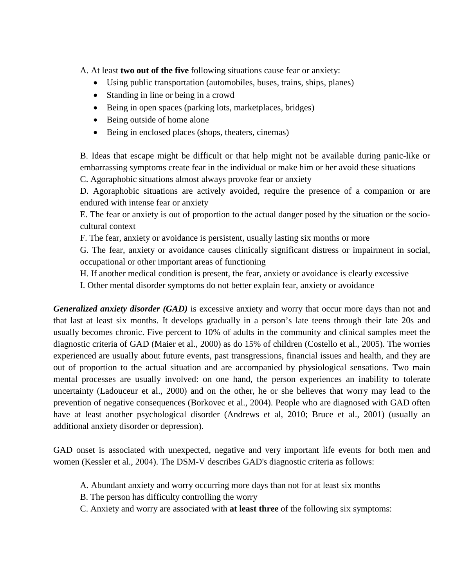A. At least **two out of the five** following situations cause fear or anxiety:

- Using public transportation (automobiles, buses, trains, ships, planes)
- Standing in line or being in a crowd
- Being in open spaces (parking lots, marketplaces, bridges)
- Being outside of home alone
- Being in enclosed places (shops, theaters, cinemas)

B. Ideas that escape might be difficult or that help might not be available during panic-like or embarrassing symptoms create fear in the individual or make him or her avoid these situations

C. Agoraphobic situations almost always provoke fear or anxiety

D. Agoraphobic situations are actively avoided, require the presence of a companion or are endured with intense fear or anxiety

E. The fear or anxiety is out of proportion to the actual danger posed by the situation or the sociocultural context

F. The fear, anxiety or avoidance is persistent, usually lasting six months or more

G. The fear, anxiety or avoidance causes clinically significant distress or impairment in social, occupational or other important areas of functioning

H. If another medical condition is present, the fear, anxiety or avoidance is clearly excessive

I. Other mental disorder symptoms do not better explain fear, anxiety or avoidance

<span id="page-5-0"></span>*Generalized anxiety disorder (GAD)* is excessive anxiety and worry that occur more days than not and that last at least six months. It develops gradually in a person's late teens through their late 20s and usually becomes chronic. Five percent to 10% of adults in the community and clinical samples meet the diagnostic criteria of GAD (Maier et al., 2000) as do 15% of children (Costello et al., 2005). The worries experienced are usually about future events, past transgressions, financial issues and health, and they are out of proportion to the actual situation and are accompanied by physiological sensations. Two main mental processes are usually involved: on one hand, the person experiences an inability to tolerate uncertainty (Ladouceur et al., 2000) and on the other, he or she believes that worry may lead to the prevention of negative consequences (Borkovec et al., 2004). People who are diagnosed with GAD often have at least another psychological disorder (Andrews et al, 2010; Bruce et al., 2001) (usually an additional anxiety disorder or depression).

GAD onset is associated with unexpected, negative and very important life events for both men and women (Kessler et al., 2004). The DSM-V describes GAD's diagnostic criteria as follows:

- A. Abundant anxiety and worry occurring more days than not for at least six months
- B. The person has difficulty controlling the worry
- C. Anxiety and worry are associated with **at least three** of the following six symptoms: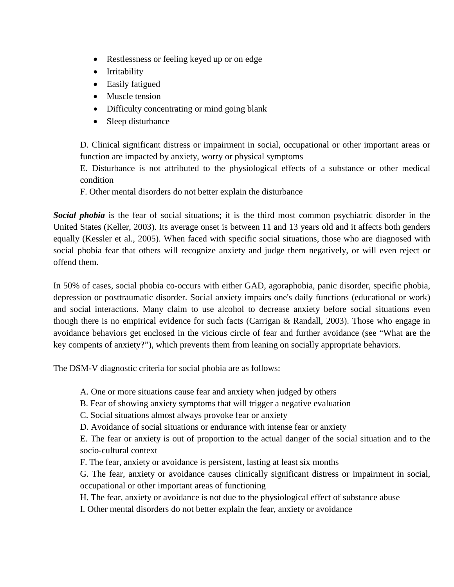- Restlessness or feeling keyed up or on edge
- Irritability
- Easily fatigued
- Muscle tension
- Difficulty concentrating or mind going blank
- Sleep disturbance

D. Clinical significant distress or impairment in social, occupational or other important areas or function are impacted by anxiety, worry or physical symptoms

E. Disturbance is not attributed to the physiological effects of a substance or other medical condition

F. Other mental disorders do not better explain the disturbance

<span id="page-6-0"></span>*Social phobia* is the fear of social situations; it is the third most common psychiatric disorder in the United States (Keller, 2003). Its average onset is between 11 and 13 years old and it affects both genders equally (Kessler et al., 2005). When faced with specific social situations, those who are diagnosed with social phobia fear that others will recognize anxiety and judge them negatively, or will even reject or offend them.

In 50% of cases, social phobia co-occurs with either GAD, agoraphobia, panic disorder, specific phobia, depression or posttraumatic disorder. Social anxiety impairs one's daily functions (educational or work) and social interactions. Many claim to use alcohol to decrease anxiety before social situations even though there is no empirical evidence for such facts (Carrigan & Randall, 2003). Those who engage in avoidance behaviors get enclosed in the vicious circle of fear and further avoidance (see "What are the key compents of anxiety?"), which prevents them from leaning on socially appropriate behaviors.

The DSM-V diagnostic criteria for social phobia are as follows:

A. One or more situations cause fear and anxiety when judged by others

B. Fear of showing anxiety symptoms that will trigger a negative evaluation

C. Social situations almost always provoke fear or anxiety

D. Avoidance of social situations or endurance with intense fear or anxiety

E. The fear or anxiety is out of proportion to the actual danger of the social situation and to the socio-cultural context

F. The fear, anxiety or avoidance is persistent, lasting at least six months

G. The fear, anxiety or avoidance causes clinically significant distress or impairment in social, occupational or other important areas of functioning

H. The fear, anxiety or avoidance is not due to the physiological effect of substance abuse

I. Other mental disorders do not better explain the fear, anxiety or avoidance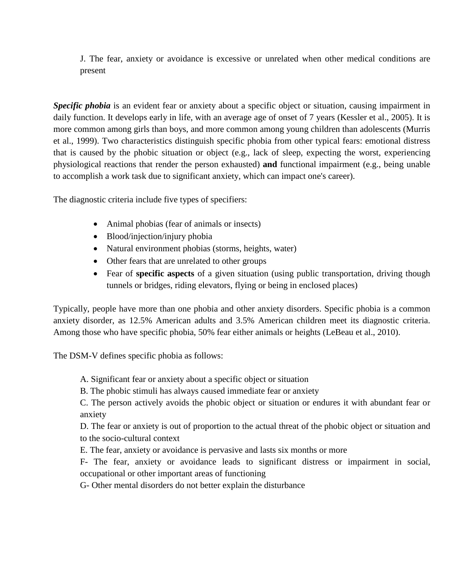J. The fear, anxiety or avoidance is excessive or unrelated when other medical conditions are present

<span id="page-7-0"></span>*Specific phobia* is an evident fear or anxiety about a specific object or situation, causing impairment in daily function. It develops early in life, with an average age of onset of 7 years (Kessler et al., 2005). It is more common among girls than boys, and more common among young children than adolescents (Murris et al., 1999). Two characteristics distinguish specific phobia from other typical fears: emotional distress that is caused by the phobic situation or object (e.g., lack of sleep, expecting the worst, experiencing physiological reactions that render the person exhausted) **and** functional impairment (e.g., being unable to accomplish a work task due to significant anxiety, which can impact one's career).

The diagnostic criteria include five types of specifiers:

- Animal phobias (fear of animals or insects)
- Blood/injection/injury phobia
- Natural environment phobias (storms, heights, water)
- Other fears that are unrelated to other groups
- Fear of **specific aspects** of a given situation (using public transportation, driving though tunnels or bridges, riding elevators, flying or being in enclosed places)

Typically, people have more than one phobia and other anxiety disorders. Specific phobia is a common anxiety disorder, as 12.5% American adults and 3.5% American children meet its diagnostic criteria. Among those who have specific phobia, 50% fear either animals or heights (LeBeau et al., 2010).

The DSM-V defines specific phobia as follows:

- A. Significant fear or anxiety about a specific object or situation
- B. The phobic stimuli has always caused immediate fear or anxiety

C. The person actively avoids the phobic object or situation or endures it with abundant fear or anxiety

D. The fear or anxiety is out of proportion to the actual threat of the phobic object or situation and to the socio-cultural context

E. The fear, anxiety or avoidance is pervasive and lasts six months or more

F- The fear, anxiety or avoidance leads to significant distress or impairment in social, occupational or other important areas of functioning

G- Other mental disorders do not better explain the disturbance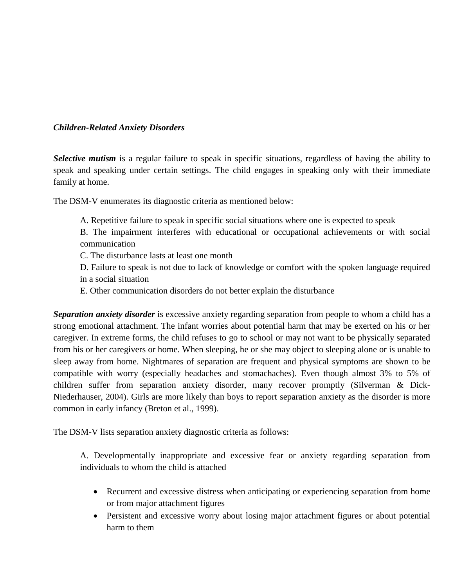#### <span id="page-8-1"></span><span id="page-8-0"></span>*Children-Related Anxiety Disorders*

*Selective mutism* is a regular failure to speak in specific situations, regardless of having the ability to speak and speaking under certain settings. The child engages in speaking only with their immediate family at home.

The DSM-V enumerates its diagnostic criteria as mentioned below:

A. Repetitive failure to speak in specific social situations where one is expected to speak

B. The impairment interferes with educational or occupational achievements or with social communication

- C. The disturbance lasts at least one month
- D. Failure to speak is not due to lack of knowledge or comfort with the spoken language required in a social situation
- E. Other communication disorders do not better explain the disturbance

<span id="page-8-2"></span>*Separation anxiety disorder* is excessive [anxiety](https://en.wikipedia.org/wiki/Anxiety) regarding separation from people to whom a child has a strong [emotional attachment.](https://en.wikipedia.org/wiki/Attachment_theory) The infant worries about potential harm that may be exerted on his or her caregiver. In extreme forms, the child refuses to go to school or may not want to be physically separated from his or her caregivers or home. When sleeping, he or she may object to sleeping alone or is unable to sleep away from home. Nightmares of separation are frequent and physical symptoms are shown to be compatible with worry (especially headaches and stomachaches). Even though almost 3% to 5% of children suffer from separation anxiety disorder, many recover promptly (Silverman & Dick-Niederhauser, 2004). Girls are more likely than boys to report separation anxiety as the disorder is more common in early infancy (Breton et al., 1999).

The DSM-V lists separation anxiety diagnostic criteria as follows:

A. Developmentally inappropriate and excessive fear or anxiety regarding separation from individuals to whom the child is attached

- Recurrent and excessive distress when anticipating or experiencing separation from home or from major attachment figures
- Persistent and excessive worry about losing major attachment figures or about potential harm to them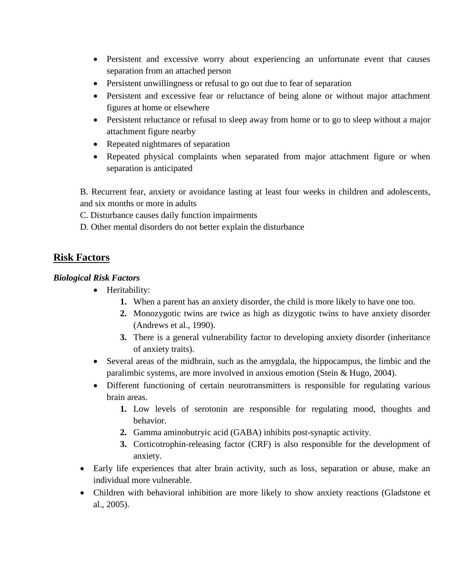- Persistent and excessive worry about experiencing an unfortunate event that causes separation from an attached person
- Persistent unwillingness or refusal to go out due to fear of separation
- Persistent and excessive fear or reluctance of being alone or without major attachment figures at home or elsewhere
- Persistent reluctance or refusal to sleep away from home or to go to sleep without a major attachment figure nearby
- Repeated nightmares of separation
- Repeated physical complaints when separated from major attachment figure or when separation is anticipated

B. Recurrent fear, anxiety or avoidance lasting at least four weeks in children and adolescents, and six months or more in adults

C. Disturbance causes daily function impairments

D. Other mental disorders do not better explain the disturbance

## <span id="page-9-0"></span>**Risk Factors**

#### <span id="page-9-1"></span>*Biological Risk Factors*

- Heritability:
	- **1.** When a parent has an anxiety disorder, the child is more likely to have one too.
	- **2.** Monozygotic twins are twice as high as dizygotic twins to have anxiety disorder (Andrews et al., 1990).
	- **3.** There is a general vulnerability factor to developing anxiety disorder (inheritance of anxiety traits).
- Several areas of the midbrain, such as the amygdala, the hippocampus, the limbic and the paralimbic systems, are more involved in anxious emotion (Stein & Hugo, 2004).
- Different functioning of certain neurotransmitters is responsible for regulating various brain areas.
	- **1.** Low levels of serotonin are responsible for regulating mood, thoughts and behavior.
	- **2.** Gamma aminobutryic acid (GABA) inhibits post-synaptic activity.
	- **3.** Corticotrophin-releasing factor (CRF) is also responsible for the development of anxiety.
- Early life experiences that alter brain activity, such as loss, separation or abuse, make an individual more vulnerable.
- Children with behavioral inhibition are more likely to show anxiety reactions (Gladstone et al., 2005).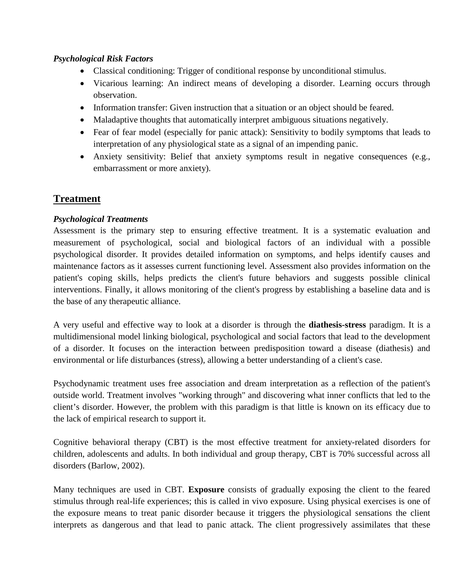#### <span id="page-10-0"></span>*Psychological Risk Factors*

- Classical conditioning: Trigger of conditional response by unconditional stimulus.
- Vicarious learning: An indirect means of developing a disorder. Learning occurs through observation.
- Information transfer: Given instruction that a situation or an object should be feared.
- Maladaptive thoughts that automatically interpret ambiguous situations negatively.
- Fear of fear model (especially for panic attack): Sensitivity to bodily symptoms that leads to interpretation of any physiological state as a signal of an impending panic.
- Anxiety sensitivity: Belief that anxiety symptoms result in negative consequences (e.g., embarrassment or more anxiety).

## <span id="page-10-1"></span>**Treatment**

#### <span id="page-10-2"></span>*Psychological Treatments*

Assessment is the primary step to ensuring effective treatment. It is a systematic evaluation and measurement of psychological, social and biological factors of an individual with a possible psychological disorder. It provides detailed information on symptoms, and helps identify causes and maintenance factors as it assesses current functioning level. Assessment also provides information on the patient's coping skills, helps predicts the client's future behaviors and suggests possible clinical interventions. Finally, it allows monitoring of the client's progress by establishing a baseline data and is the base of any therapeutic alliance.

A very useful and effective way to look at a disorder is through the **diathesis-stress** paradigm. It is a multidimensional model linking biological, psychological and social factors that lead to the development of a disorder. It focuses on the interaction between predisposition toward a disease (diathesis) and environmental or life disturbances (stress), allowing a better understanding of a client's case.

Psychodynamic treatment uses free association and dream interpretation as a reflection of the patient's outside world. Treatment involves "working through" and discovering what inner conflicts that led to the client's disorder. However, the problem with this paradigm is that little is known on its efficacy due to the lack of empirical research to support it.

Cognitive behavioral therapy (CBT) is the most effective treatment for anxiety-related disorders for children, adolescents and adults. In both individual and group therapy, CBT is 70% successful across all disorders (Barlow, 2002).

Many techniques are used in CBT. **Exposure** consists of gradually exposing the client to the feared stimulus through real-life experiences; this is called in vivo exposure. Using physical exercises is one of the exposure means to treat panic disorder because it triggers the physiological sensations the client interprets as dangerous and that lead to panic attack. The client progressively assimilates that these